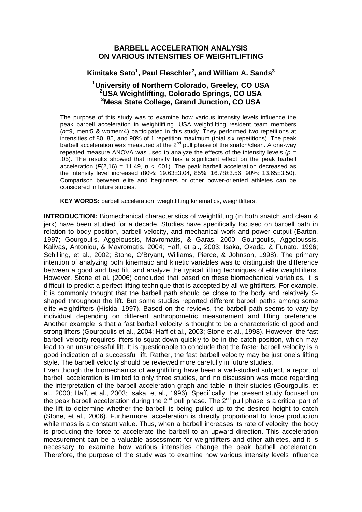## **BARBELL ACCELERATION ANALYSIS ON VARIOUS INTENSITIES OF WEIGHTLIFTING**

## Kimitake Sato<sup>1</sup>, Paul Fleschler<sup>2</sup>, and William A. Sands<sup>3</sup>

## **1 University of Northern Colorado, Greeley, CO USA 2 USA Weightlifting, Colorado Springs, CO USA 3 Mesa State College, Grand Junction, CO USA**

The purpose of this study was to examine how various intensity levels influence the peak barbell acceleration in weightlifting. USA weightlifting resident team members (*n*=9, men:5 & women:4) participated in this study. They performed two repetitions at intensities of 80, 85, and 90% of 1 repetition maximum (total six repetitions). The peak barbell acceleration was measured at the  $2<sup>nd</sup>$  pull phase of the snatch/clean. A one-way repeated measure ANOVA was used to analyze the effects of the intensity levels ( $p =$ .05). The results showed that intensity has a significant effect on the peak barbell acceleration ( $F(2,16) = 11.49$ ,  $p < .001$ ). The peak barbell acceleration decreased as the intensity level increased (80%: 19.63±3.04, 85%: 16.78±3.56, 90%: 13.65±3.50). Comparison between elite and beginners or other power-oriented athletes can be considered in future studies.

**KEY WORDS:** barbell acceleration, weightlifting kinematics, weightlifters.

**INTRODUCTION:** Biomechanical characteristics of weightlifting (in both snatch and clean & jerk) have been studied for a decade. Studies have specifically focused on barbell path in relation to body position, barbell velocity, and mechanical work and power output (Barton, 1997; Gourgoulis, Aggeloussis, Mavromatis, & Garas, 2000; Gourgoulis, Aggeloussis, Kalivas, Antoniou, & Mavromatis, 2004; Haff, et al., 2003; Isaka, Okada, & Funato, 1996; Schilling, et al., 2002; Stone, O'Bryant, Williams, Pierce, & Johnson, 1998). The primary intention of analyzing both kinematic and kinetic variables was to distinguish the difference between a good and bad lift, and analyze the typical lifting techniques of elite weightlifters. However, Stone et al. (2006) concluded that based on these biomechanical variables, it is difficult to predict a perfect lifting technique that is accepted by all weightlifters. For example, it is commonly thought that the barbell path should be close to the body and relatively Sshaped throughout the lift. But some studies reported different barbell paths among some elite weightlifters (Hiskia, 1997). Based on the reviews, the barbell path seems to vary by individual depending on different anthropometric measurement and lifting preference. Another example is that a fast barbell velocity is thought to be a characteristic of good and strong lifters (Gourgoulis et al., 2004; Haff et al., 2003; Stone et al., 1998). However, the fast barbell velocity requires lifters to squat down quickly to be in the catch position, which may lead to an unsuccessful lift. It is questionable to conclude that the faster barbell velocity is a good indication of a successful lift. Rather, the fast barbell velocity may be just one's lifting style. The barbell velocity should be reviewed more carefully in future studies.

Even though the biomechanics of weightlifting have been a well-studied subject, a report of barbell acceleration is limited to only three studies, and no discussion was made regarding the interpretation of the barbell acceleration graph and table in their studies (Gourgoulis, et al., 2000; Haff, et al., 2003; Isaka, et al., 1996). Specifically, the present study focused on the peak barbell acceleration during the  $2^{nd}$  pull phase. The  $2^{nd}$  pull phase is a critical part of the lift to determine whether the barbell is being pulled up to the desired height to catch (Stone, et al., 2006). Furthermore, acceleration is directly proportional to force production while mass is a constant value. Thus, when a barbell increases its rate of velocity, the body is producing the force to accelerate the barbell to an upward direction. This acceleration measurement can be a valuable assessment for weightlifters and other athletes, and it is necessary to examine how various intensities change the peak barbell acceleration. Therefore, the purpose of the study was to examine how various intensity levels influence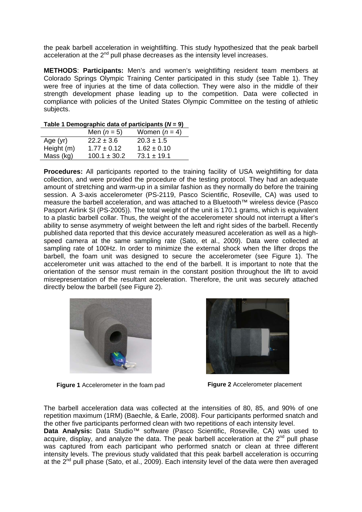the peak barbell acceleration in weightlifting. This study hypothesized that the peak barbell acceleration at the  $2^{nd}$  pull phase decreases as the intensity level increases.

**METHODS**: **Participants:** Men's and women's weightlifting resident team members at Colorado Springs Olympic Training Center participated in this study (see Table 1). They were free of injuries at the time of data collection. They were also in the middle of their strength development phase leading up to the competition. Data were collected in compliance with policies of the United States Olympic Committee on the testing of athletic subjects.

|            | Men $(n=5)$      | Women $(n = 4)$ |  |  |
|------------|------------------|-----------------|--|--|
| Age $(yr)$ | $22.2 \pm 3.6$   | $20.3 \pm 1.5$  |  |  |
| Height (m) | $1.77 \pm 0.12$  | $1.62 \pm 0.10$ |  |  |
| Mass (kg)  | $100.1 \pm 30.2$ | $73.1 \pm 19.1$ |  |  |

**Table 1 Demographic data of participants (***N* **= 9)** 

**Procedures:** All participants reported to the training facility of USA weightlifting for data collection, and were provided the procedure of the testing protocol. They had an adequate amount of stretching and warm-up in a similar fashion as they normally do before the training session. A 3-axis accelerometer (PS-2119, Pasco Scientific, Roseville, CA) was used to measure the barbell acceleration, and was attached to a Bluetooth™ wireless device (Pasco Pasport Airlink SI (PS-2005)). The total weight of the unit is 170.1 grams, which is equivalent to a plastic barbell collar. Thus, the weight of the accelerometer should not interrupt a lifter's ability to sense asymmetry of weight between the left and right sides of the barbell. Recently published data reported that this device accurately measured acceleration as well as a highspeed camera at the same sampling rate (Sato, et al., 2009). Data were collected at sampling rate of 100Hz. In order to minimize the external shock when the lifter drops the barbell, the foam unit was designed to secure the accelerometer (see Figure 1). The accelerometer unit was attached to the end of the barbell. It is important to note that the orientation of the sensor must remain in the constant position throughout the lift to avoid misrepresentation of the resultant acceleration. Therefore, the unit was securely attached directly below the barbell (see Figure 2).



**Figure 1** Accelerometer in the foam pad



**Figure 2** Accelerometer placement

The barbell acceleration data was collected at the intensities of 80, 85, and 90% of one repetition maximum (1RM) (Baechle, & Earle, 2008). Four participants performed snatch and the other five participants performed clean with two repetitions of each intensity level.

**Data Analysis:** Data Studio™ software (Pasco Scientific, Roseville, CA) was used to acquire, display, and analyze the data. The peak barbell acceleration at the  $2^{nd}$  pull phase was captured from each participant who performed snatch or clean at three different intensity levels. The previous study validated that this peak barbell acceleration is occurring at the  $2^{nd}$  pull phase (Sato, et al., 2009). Each intensity level of the data were then averaged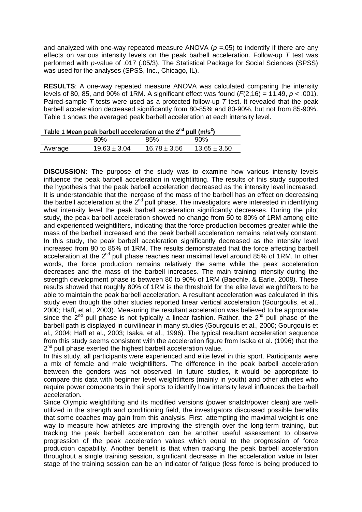and analyzed with one-way repeated measure ANOVA ( $p = 0.05$ ) to indentify if there are any effects on various intensity levels on the peak barbell acceleration. Follow-up *T* test was performed with *p*-value of .017 (.05/3). The Statistical Package for Social Sciences (SPSS) was used for the analyses (SPSS, Inc., Chicago, IL).

**RESULTS**: A one-way repeated measure ANOVA was calculated comparing the intensity levels of 80, 85, and 90% of 1RM. A significant effect was found (*F*(2,16) = 11.49, *p* < .001). Paired-sample *T* tests were used as a protected follow-up *T* test. It revealed that the peak barbell acceleration decreased significantly from 80-85% and 80-90%, but not from 85-90%. Table 1 shows the averaged peak barbell acceleration at each intensity level.

| Table 1 Mean peak barbell acceleration at the $2^{nd}$ pull (m/s <sup>2</sup> ) |                  |                  |                  |  |
|---------------------------------------------------------------------------------|------------------|------------------|------------------|--|
|                                                                                 | 80%              | 85%              | 90%              |  |
| Average                                                                         | $19.63 \pm 3.04$ | $16.78 \pm 3.56$ | $13.65 \pm 3.50$ |  |

**DISCUSSION:** The purpose of the study was to examine how various intensity levels influence the peak barbell acceleration in weightlifting. The results of this study supported the hypothesis that the peak barbell acceleration decreased as the intensity level increased. It is understandable that the increase of the mass of the barbell has an effect on decreasing the barbell acceleration at the  $2<sup>nd</sup>$  pull phase. The investigators were interested in identifying what intensity level the peak barbell acceleration significantly decreases. During the pilot study, the peak barbell acceleration showed no change from 50 to 80% of 1RM among elite and experienced weightlifters, indicating that the force production becomes greater while the mass of the barbell increased and the peak barbell acceleration remains relatively constant. In this study, the peak barbell acceleration significantly decreased as the intensity level increased from 80 to 85% of 1RM. The results demonstrated that the force affecting barbell acceleration at the 2<sup>nd</sup> pull phase reaches near maximal level around 85% of 1RM. In other words, the force production remains relatively the same while the peak acceleration decreases and the mass of the barbell increases. The main training intensity during the strength development phase is between 80 to 90% of 1RM (Baechle, & Earle, 2008). These results showed that roughly 80% of 1RM is the threshold for the elite level weightlifters to be able to maintain the peak barbell acceleration. A resultant acceleration was calculated in this study even though the other studies reported linear vertical acceleration (Gourgoulis, et al., 2000; Haff, et al., 2003). Measuring the resultant acceleration was believed to be appropriate since the  $2^{nd}$  pull phase is not typically a linear fashion. Rather, the  $2^{nd}$  pull phase of the barbell path is displayed in curvilinear in many studies (Gourgoulis et al., 2000; Gourgoulis et al., 2004; Haff et al., 2003; Isaka, et al., 1996). The typical resultant acceleration sequence from this study seems consistent with the acceleration figure from Isaka et al. (1996) that the  $2<sup>nd</sup>$  pull phase exerted the highest barbell acceleration value.

In this study, all participants were experienced and elite level in this sport. Participants were a mix of female and male weightlifters. The difference in the peak barbell acceleration between the genders was not observed. In future studies, it would be appropriate to compare this data with beginner level weightlifters (mainly in youth) and other athletes who require power components in their sports to identify how intensity level influences the barbell acceleration.

Since Olympic weightlifting and its modified versions (power snatch/power clean) are wellutilized in the strength and conditioning field, the investigators discussed possible benefits that some coaches may gain from this analysis. First, attempting the maximal weight is one way to measure how athletes are improving the strength over the long-term training, but tracking the peak barbell acceleration can be another useful assessment to observe progression of the peak acceleration values which equal to the progression of force production capability. Another benefit is that when tracking the peak barbell acceleration throughout a single training session, significant decrease in the acceleration value in later stage of the training session can be an indicator of fatigue (less force is being produced to